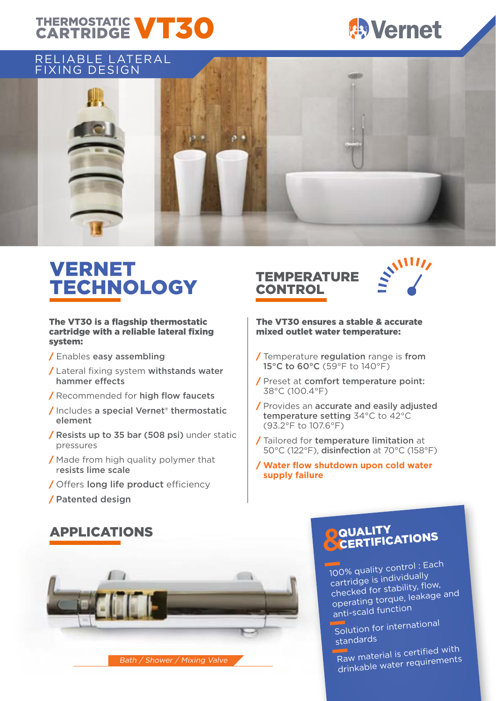## THERMOSTATIC **VT30**



### RELIABLE LATERAL



### VERNET TECHNOLOGY TEMPERATURE

#### The VT30 is a flagship thermostatic cartridge with a reliable lateral fixing system:

- / Enables easy assembling
- / Lateral fixing system withstands water hammer effects
- / Recommended for high flow faucets
- / Includes a special Vernet® thermostatic element
- / Resists up to 35 bar (508 psi) under static pressures
- / Made from high quality polymer that resists lime scale
- / Offers long life product efficiency
- / Patented design

# CONTROL



#### The VT30 ensures a stable & accurate mixed outlet water temperature:

- / Temperature regulation range is from 15°C to 60°C (59°F to 140°F)
- / Preset at comfort temperature point: 38°C (100.4°F)
- / Provides an accurate and easily adjusted temperature setting 34°C to 42°C (93.2°F to 107.6°F)
- / Tailored for temperature limitation at 50°C (122°F), disinfection at 70°C (158°F)
- / **Water flow shutdown upon cold water supply failure**





## **QUALITY**<br>CERTIFICATIONS

100% quality control : Each<br>cartridge is individually<br>checked for stability, flow,<br>operating torque, leakage and<br>anti-scald function

Solution for internationa<sup>l</sup>

standards<br>Raw material is certified with drinkable water requirements